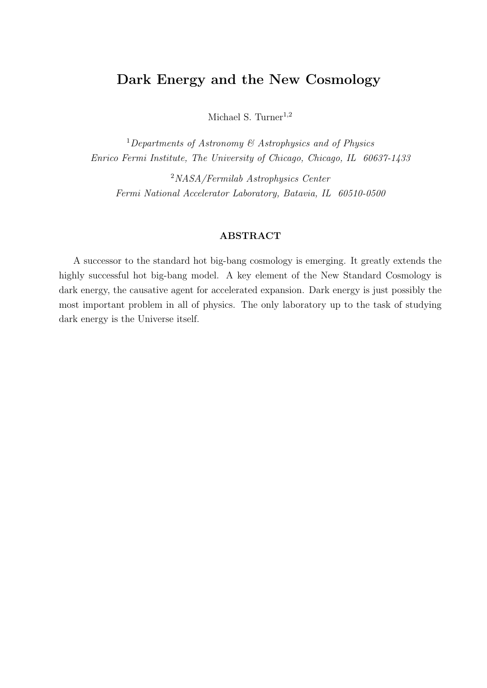# Dark Energy and the New Cosmology

Michael S. Turner<sup>1,2</sup>

<sup>1</sup>Departments of Astronomy  $\mathcal{B}$  Astrophysics and of Physics Enrico Fermi Institute, The University of Chicago, Chicago, IL 60637-1433

<sup>2</sup>NASA/Fermilab Astrophysics Center Fermi National Accelerator Laboratory, Batavia, IL 60510-0500

#### ABSTRACT

A successor to the standard hot big-bang cosmology is emerging. It greatly extends the highly successful hot big-bang model. A key element of the New Standard Cosmology is dark energy, the causative agent for accelerated expansion. Dark energy is just possibly the most important problem in all of physics. The only laboratory up to the task of studying dark energy is the Universe itself.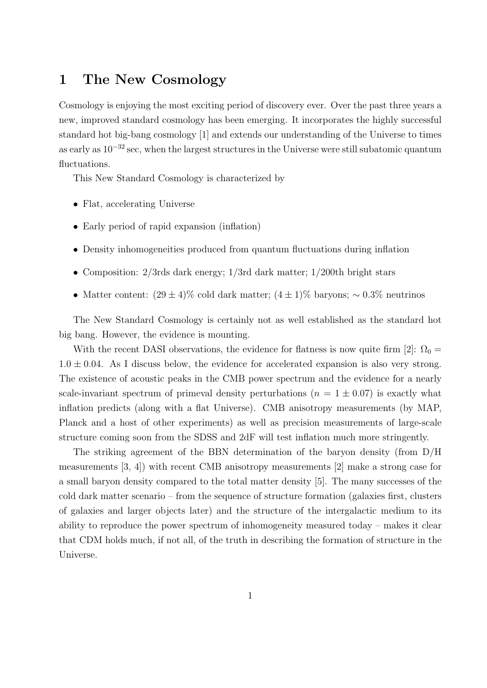## 1 The New Cosmology

Cosmology is enjoying the most exciting period of discovery ever. Over the past three years a new, improved standard cosmology has been emerging. It incorporates the highly successful standard hot big-bang cosmology [1] and extends our understanding of the Universe to times as early as 10<sup>−</sup><sup>32</sup> sec, when the largest structures in the Universe were still subatomic quantum fluctuations.

This New Standard Cosmology is characterized by

- Flat, accelerating Universe
- Early period of rapid expansion (inflation)
- Density inhomogeneities produced from quantum fluctuations during inflation
- Composition: 2/3rds dark energy; 1/3rd dark matter; 1/200th bright stars
- Matter content:  $(29 \pm 4)\%$  cold dark matter;  $(4 \pm 1)\%$  baryons; ~ 0.3% neutrinos

The New Standard Cosmology is certainly not as well established as the standard hot big bang. However, the evidence is mounting.

With the recent DASI observations, the evidence for flatness is now quite firm [2]:  $\Omega_0 =$  $1.0 \pm 0.04$ . As I discuss below, the evidence for accelerated expansion is also very strong. The existence of acoustic peaks in the CMB power spectrum and the evidence for a nearly scale-invariant spectrum of primeval density perturbations ( $n = 1 \pm 0.07$ ) is exactly what inflation predicts (along with a flat Universe). CMB anisotropy measurements (by MAP, Planck and a host of other experiments) as well as precision measurements of large-scale structure coming soon from the SDSS and 2dF will test inflation much more stringently.

The striking agreement of the BBN determination of the baryon density (from D/H measurements [3, 4]) with recent CMB anisotropy measurements [2] make a strong case for a small baryon density compared to the total matter density [5]. The many successes of the cold dark matter scenario – from the sequence of structure formation (galaxies first, clusters of galaxies and larger objects later) and the structure of the intergalactic medium to its ability to reproduce the power spectrum of inhomogeneity measured today – makes it clear that CDM holds much, if not all, of the truth in describing the formation of structure in the Universe.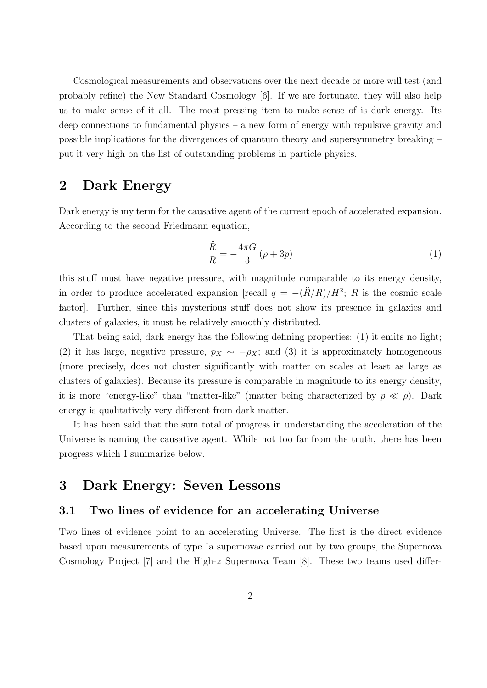Cosmological measurements and observations over the next decade or more will test (and probably refine) the New Standard Cosmology [6]. If we are fortunate, they will also help us to make sense of it all. The most pressing item to make sense of is dark energy. Its deep connections to fundamental physics – a new form of energy with repulsive gravity and possible implications for the divergences of quantum theory and supersymmetry breaking – put it very high on the list of outstanding problems in particle physics.

### 2 Dark Energy

Dark energy is my term for the causative agent of the current epoch of accelerated expansion. According to the second Friedmann equation,

$$
\frac{\ddot{R}}{R} = -\frac{4\pi G}{3} \left(\rho + 3p\right) \tag{1}
$$

this stuff must have negative pressure, with magnitude comparable to its energy density, in order to produce accelerated expansion [recall  $q = -(\ddot{R}/R)/H^2$ ; R is the cosmic scale factor]. Further, since this mysterious stuff does not show its presence in galaxies and clusters of galaxies, it must be relatively smoothly distributed.

That being said, dark energy has the following defining properties: (1) it emits no light; (2) it has large, negative pressure,  $p_X \sim -\rho_X$ ; and (3) it is approximately homogeneous (more precisely, does not cluster significantly with matter on scales at least as large as clusters of galaxies). Because its pressure is comparable in magnitude to its energy density, it is more "energy-like" than "matter-like" (matter being characterized by  $p \ll \rho$ ). Dark energy is qualitatively very different from dark matter.

It has been said that the sum total of progress in understanding the acceleration of the Universe is naming the causative agent. While not too far from the truth, there has been progress which I summarize below.

### 3 Dark Energy: Seven Lessons

#### 3.1 Two lines of evidence for an accelerating Universe

Two lines of evidence point to an accelerating Universe. The first is the direct evidence based upon measurements of type Ia supernovae carried out by two groups, the Supernova Cosmology Project [7] and the High-z Supernova Team  $[8]$ . These two teams used differ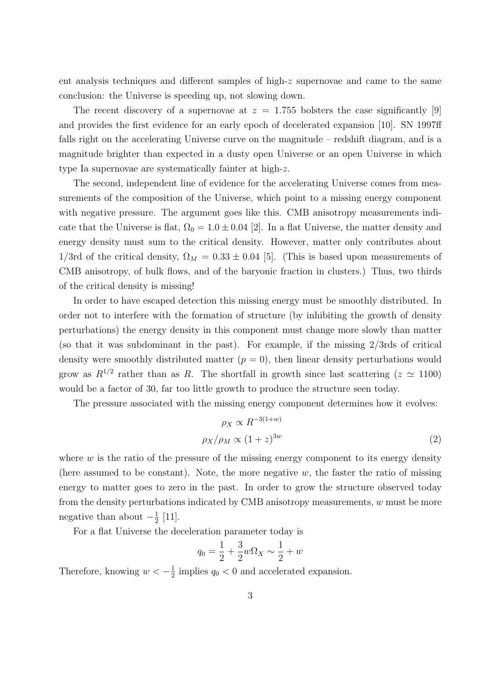ent analysis techniques and different samples of high- $z$  supernovae and came to the same conclusion: the Universe is speeding up, not slowing down.

The recent discovery of a supernovae at  $z = 1.755$  bolsters the case significantly [9] and provides the first evidence for an early epoch of decelerated expansion [10]. SN 1997ff falls right on the accelerating Universe curve on the magnitude – redshift diagram, and is a magnitude brighter than expected in a dusty open Universe or an open Universe in which type Ia supernovae are systematically fainter at high-z.

The second, independent line of evidence for the accelerating Universe comes from measurements of the composition of the Universe, which point to a missing energy component with negative pressure. The argument goes like this. CMB anisotropy measurements indicate that the Universe is flat,  $\Omega_0 = 1.0 \pm 0.04$  [2]. In a flat Universe, the matter density and energy density must sum to the critical density. However, matter only contributes about 1/3rd of the critical density,  $\Omega_M = 0.33 \pm 0.04$  [5]. (This is based upon measurements of CMB anisotropy, of bulk flows, and of the baryonic fraction in clusters.) Thus, two thirds of the critical density is missing!

In order to have escaped detection this missing energy must be smoothly distributed. In order not to interfere with the formation of structure (by inhibiting the growth of density perturbations) the energy density in this component must change more slowly than matter (so that it was subdominant in the past). For example, if the missing 2/3rds of critical density were smoothly distributed matter  $(p = 0)$ , then linear density perturbations would grow as  $R^{1/2}$  rather than as R. The shortfall in growth since last scattering  $(z \simeq 1100)$ would be a factor of 30, far too little growth to produce the structure seen today.

The pressure associated with the missing energy component determines how it evolves:

$$
\rho_X \propto R^{-3(1+w)} \n\rho_X/\rho_M \propto (1+z)^{3w}
$$
\n(2)

where  $w$  is the ratio of the pressure of the missing energy component to its energy density (here assumed to be constant). Note, the more negative  $w$ , the faster the ratio of missing energy to matter goes to zero in the past. In order to grow the structure observed today from the density perturbations indicated by CMB anisotropy measurements, w must be more negative than about  $-\frac{1}{2}$  $rac{1}{2}$  [11].

For a flat Universe the deceleration parameter today is

$$
q_0 = \frac{1}{2} + \frac{3}{2}w\Omega_X \sim \frac{1}{2} + w
$$

Therefore, knowing  $w < -\frac{1}{2}$  $\frac{1}{2}$  implies  $q_0 < 0$  and accelerated expansion.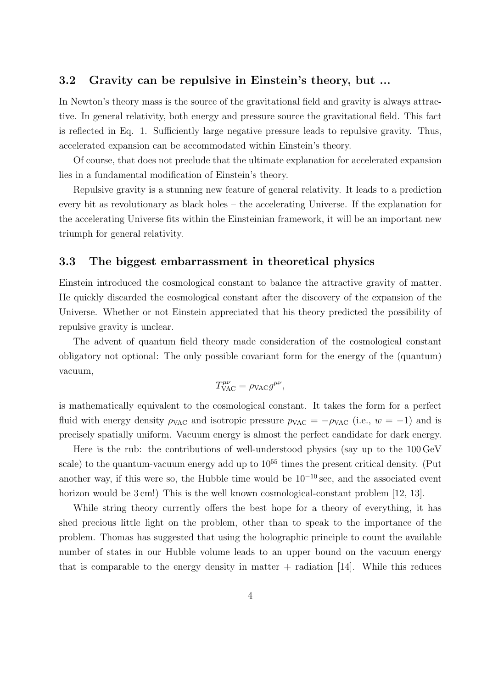### 3.2 Gravity can be repulsive in Einstein's theory, but ...

In Newton's theory mass is the source of the gravitational field and gravity is always attractive. In general relativity, both energy and pressure source the gravitational field. This fact is reflected in Eq. 1. Sufficiently large negative pressure leads to repulsive gravity. Thus, accelerated expansion can be accommodated within Einstein's theory.

Of course, that does not preclude that the ultimate explanation for accelerated expansion lies in a fundamental modification of Einstein's theory.

Repulsive gravity is a stunning new feature of general relativity. It leads to a prediction every bit as revolutionary as black holes – the accelerating Universe. If the explanation for the accelerating Universe fits within the Einsteinian framework, it will be an important new triumph for general relativity.

#### 3.3 The biggest embarrassment in theoretical physics

Einstein introduced the cosmological constant to balance the attractive gravity of matter. He quickly discarded the cosmological constant after the discovery of the expansion of the Universe. Whether or not Einstein appreciated that his theory predicted the possibility of repulsive gravity is unclear.

The advent of quantum field theory made consideration of the cosmological constant obligatory not optional: The only possible covariant form for the energy of the (quantum) vacuum,

$$
T^{\mu\nu}_{\text{VAC}} = \rho_{\text{VAC}} g^{\mu\nu},
$$

is mathematically equivalent to the cosmological constant. It takes the form for a perfect fluid with energy density  $\rho_{\text{VAC}}$  and isotropic pressure  $p_{\text{VAC}} = -\rho_{\text{VAC}}$  (i.e.,  $w = -1$ ) and is precisely spatially uniform. Vacuum energy is almost the perfect candidate for dark energy.

Here is the rub: the contributions of well-understood physics (say up to the 100 GeV scale) to the quantum-vacuum energy add up to  $10^{55}$  times the present critical density. (Put another way, if this were so, the Hubble time would be  $10^{-10}$  sec, and the associated event horizon would be 3 cm!) This is the well known cosmological-constant problem [12, 13].

While string theory currently offers the best hope for a theory of everything, it has shed precious little light on the problem, other than to speak to the importance of the problem. Thomas has suggested that using the holographic principle to count the available number of states in our Hubble volume leads to an upper bound on the vacuum energy that is comparable to the energy density in matter  $+$  radiation [14]. While this reduces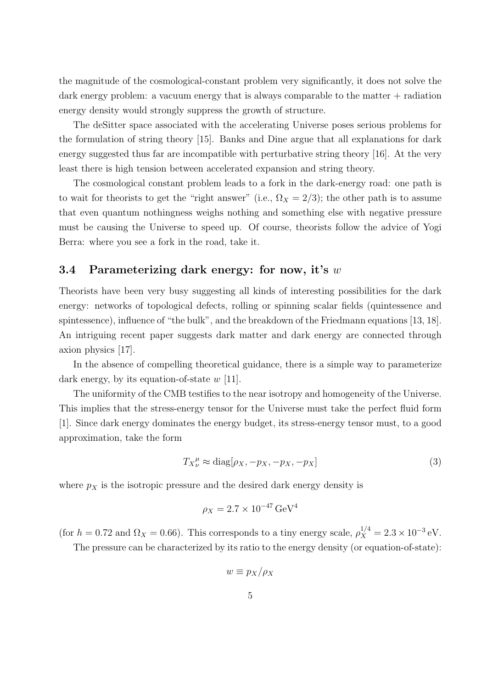the magnitude of the cosmological-constant problem very significantly, it does not solve the dark energy problem: a vacuum energy that is always comparable to the matter  $+$  radiation energy density would strongly suppress the growth of structure.

The deSitter space associated with the accelerating Universe poses serious problems for the formulation of string theory [15]. Banks and Dine argue that all explanations for dark energy suggested thus far are incompatible with perturbative string theory [16]. At the very least there is high tension between accelerated expansion and string theory.

The cosmological constant problem leads to a fork in the dark-energy road: one path is to wait for theorists to get the "right answer" (i.e.,  $\Omega_X = 2/3$ ); the other path is to assume that even quantum nothingness weighs nothing and something else with negative pressure must be causing the Universe to speed up. Of course, theorists follow the advice of Yogi Berra: where you see a fork in the road, take it.

#### 3.4 Parameterizing dark energy: for now, it's  $w$

Theorists have been very busy suggesting all kinds of interesting possibilities for the dark energy: networks of topological defects, rolling or spinning scalar fields (quintessence and spintessence), influence of "the bulk", and the breakdown of the Friedmann equations [13, 18]. An intriguing recent paper suggests dark matter and dark energy are connected through axion physics [17].

In the absence of compelling theoretical guidance, there is a simple way to parameterize dark energy, by its equation-of-state  $w$  [11].

The uniformity of the CMB testifies to the near isotropy and homogeneity of the Universe. This implies that the stress-energy tensor for the Universe must take the perfect fluid form [1]. Since dark energy dominates the energy budget, its stress-energy tensor must, to a good approximation, take the form

$$
T_{X\nu}^{\mu} \approx \text{diag}[\rho_X, -p_X, -p_X, -p_X] \tag{3}
$$

where  $p_X$  is the isotropic pressure and the desired dark energy density is

$$
\rho_X = 2.7 \times 10^{-47} \,\text{GeV}^4
$$

(for  $h = 0.72$  and  $\Omega_X = 0.66$ ). This corresponds to a tiny energy scale,  $\rho_X^{1/4} = 2.3 \times 10^{-3}$  eV.

The pressure can be characterized by its ratio to the energy density (or equation-of-state):

$$
w \equiv p_X/\rho_X
$$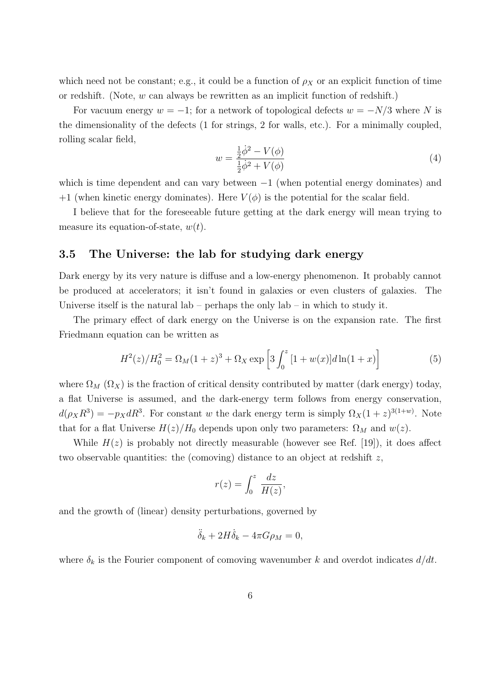which need not be constant; e.g., it could be a function of  $\rho_X$  or an explicit function of time or redshift. (Note,  $w$  can always be rewritten as an implicit function of redshift.)

For vacuum energy  $w = -1$ ; for a network of topological defects  $w = -N/3$  where N is the dimensionality of the defects (1 for strings, 2 for walls, etc.). For a minimally coupled, rolling scalar field,

$$
w = \frac{\frac{1}{2}\dot{\phi}^2 - V(\phi)}{\frac{1}{2}\dot{\phi}^2 + V(\phi)}
$$
(4)

which is time dependent and can vary between  $-1$  (when potential energy dominates) and +1 (when kinetic energy dominates). Here  $V(\phi)$  is the potential for the scalar field.

I believe that for the foreseeable future getting at the dark energy will mean trying to measure its equation-of-state,  $w(t)$ .

#### 3.5 The Universe: the lab for studying dark energy

Dark energy by its very nature is diffuse and a low-energy phenomenon. It probably cannot be produced at accelerators; it isn't found in galaxies or even clusters of galaxies. The Universe itself is the natural lab – perhaps the only  $\{ab - in$  which to study it.

The primary effect of dark energy on the Universe is on the expansion rate. The first Friedmann equation can be written as

$$
H^{2}(z)/H_{0}^{2} = \Omega_{M}(1+z)^{3} + \Omega_{X} \exp \left[3 \int_{0}^{z} [1+w(x)]d\ln(1+x)\right]
$$
(5)

where  $\Omega_M$  ( $\Omega_X$ ) is the fraction of critical density contributed by matter (dark energy) today, a flat Universe is assumed, and the dark-energy term follows from energy conservation,  $d(\rho_X R^3) = -p_X dR^3$ . For constant w the dark energy term is simply  $\Omega_X (1+z)^{3(1+w)}$ . Note that for a flat Universe  $H(z)/H_0$  depends upon only two parameters:  $\Omega_M$  and  $w(z)$ .

While  $H(z)$  is probably not directly measurable (however see Ref. [19]), it does affect two observable quantities: the (comoving) distance to an object at redshift z,

$$
r(z) = \int_0^z \frac{dz}{H(z)},
$$

and the growth of (linear) density perturbations, governed by

$$
\ddot{\delta}_k + 2H\dot{\delta}_k - 4\pi G\rho_M = 0,
$$

where  $\delta_k$  is the Fourier component of comoving wavenumber k and overdot indicates  $d/dt$ .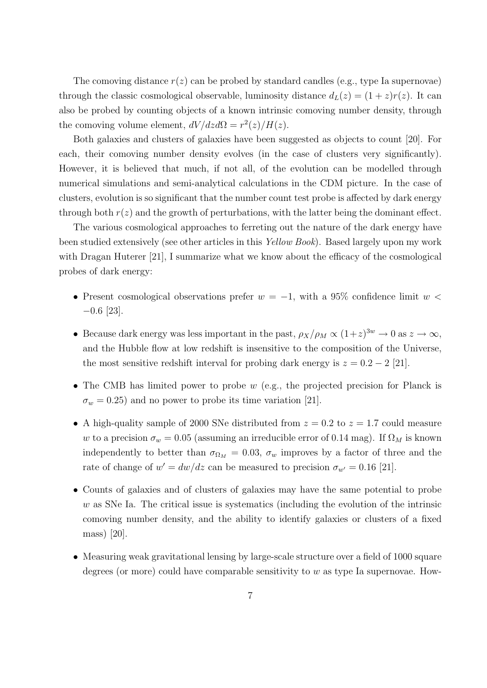The comoving distance  $r(z)$  can be probed by standard candles (e.g., type Ia supernovae) through the classic cosmological observable, luminosity distance  $d_L(z) = (1 + z)r(z)$ . It can also be probed by counting objects of a known intrinsic comoving number density, through the comoving volume element,  $dV/dz d\Omega = r^2(z)/H(z)$ .

Both galaxies and clusters of galaxies have been suggested as objects to count [20]. For each, their comoving number density evolves (in the case of clusters very significantly). However, it is believed that much, if not all, of the evolution can be modelled through numerical simulations and semi-analytical calculations in the CDM picture. In the case of clusters, evolution is so significant that the number count test probe is affected by dark energy through both  $r(z)$  and the growth of perturbations, with the latter being the dominant effect.

The various cosmological approaches to ferreting out the nature of the dark energy have been studied extensively (see other articles in this Yellow Book). Based largely upon my work with Dragan Huterer [21], I summarize what we know about the efficacy of the cosmological probes of dark energy:

- Present cosmological observations prefer  $w = -1$ , with a 95% confidence limit  $w <$ −0.6 [23].
- Because dark energy was less important in the past,  $\rho_X/\rho_M \propto (1+z)^{3w} \to 0$  as  $z \to \infty$ , and the Hubble flow at low redshift is insensitive to the composition of the Universe, the most sensitive redshift interval for probing dark energy is  $z = 0.2 - 2$  [21].
- The CMB has limited power to probe w (e.g., the projected precision for Planck is  $\sigma_w = 0.25$ ) and no power to probe its time variation [21].
- A high-quality sample of 2000 SNe distributed from  $z = 0.2$  to  $z = 1.7$  could measure w to a precision  $\sigma_w = 0.05$  (assuming an irreducible error of 0.14 mag). If  $\Omega_M$  is known independently to better than  $\sigma_{\Omega_M} = 0.03$ ,  $\sigma_w$  improves by a factor of three and the rate of change of  $w' = dw/dz$  can be measured to precision  $\sigma_{w'} = 0.16$  [21].
- Counts of galaxies and of clusters of galaxies may have the same potential to probe  $w$  as SNe Ia. The critical issue is systematics (including the evolution of the intrinsic comoving number density, and the ability to identify galaxies or clusters of a fixed mass) [20].
- Measuring weak gravitational lensing by large-scale structure over a field of 1000 square degrees (or more) could have comparable sensitivity to  $w$  as type Ia supernovae. How-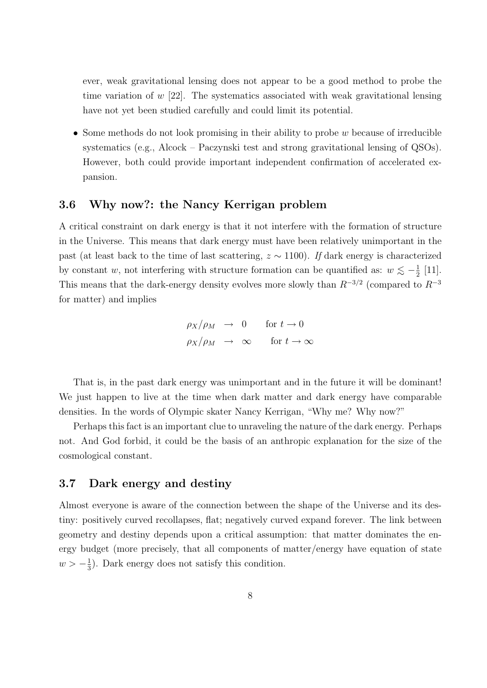ever, weak gravitational lensing does not appear to be a good method to probe the time variation of  $w$  [22]. The systematics associated with weak gravitational lensing have not yet been studied carefully and could limit its potential.

• Some methods do not look promising in their ability to probe w because of irreducible systematics (e.g., Alcock – Paczynski test and strong gravitational lensing of QSOs). However, both could provide important independent confirmation of accelerated expansion.

#### 3.6 Why now?: the Nancy Kerrigan problem

A critical constraint on dark energy is that it not interfere with the formation of structure in the Universe. This means that dark energy must have been relatively unimportant in the past (at least back to the time of last scattering,  $z \sim 1100$ ). If dark energy is characterized by constant w, not interfering with structure formation can be quantified as:  $w \lesssim -\frac{1}{2}$  $rac{1}{2}$  [11]. This means that the dark-energy density evolves more slowly than  $R^{-3/2}$  (compared to  $R^{-3}$ ) for matter) and implies

$$
\rho_X/\rho_M \rightarrow 0 \quad \text{for } t \rightarrow 0
$$
  

$$
\rho_X/\rho_M \rightarrow \infty \quad \text{for } t \rightarrow \infty
$$

That is, in the past dark energy was unimportant and in the future it will be dominant! We just happen to live at the time when dark matter and dark energy have comparable densities. In the words of Olympic skater Nancy Kerrigan, "Why me? Why now?"

Perhaps this fact is an important clue to unraveling the nature of the dark energy. Perhaps not. And God forbid, it could be the basis of an anthropic explanation for the size of the cosmological constant.

#### 3.7 Dark energy and destiny

Almost everyone is aware of the connection between the shape of the Universe and its destiny: positively curved recollapses, flat; negatively curved expand forever. The link between geometry and destiny depends upon a critical assumption: that matter dominates the energy budget (more precisely, that all components of matter/energy have equation of state  $w > -\frac{1}{3}$  $\frac{1}{3}$ ). Dark energy does not satisfy this condition.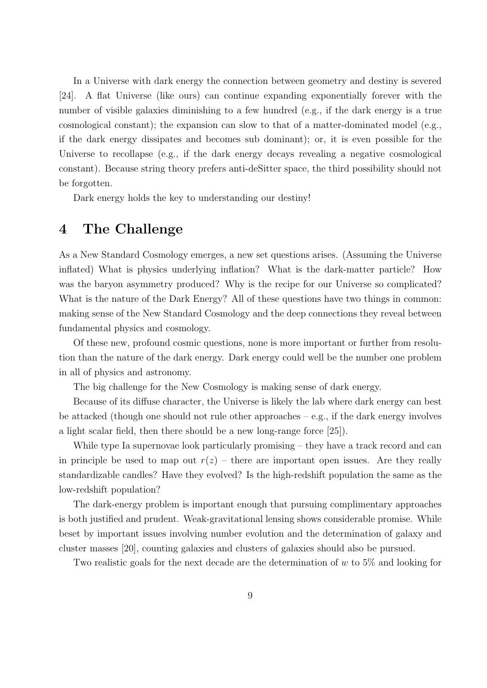In a Universe with dark energy the connection between geometry and destiny is severed [24]. A flat Universe (like ours) can continue expanding exponentially forever with the number of visible galaxies diminishing to a few hundred (e.g., if the dark energy is a true cosmological constant); the expansion can slow to that of a matter-dominated model (e.g., if the dark energy dissipates and becomes sub dominant); or, it is even possible for the Universe to recollapse (e.g., if the dark energy decays revealing a negative cosmological constant). Because string theory prefers anti-deSitter space, the third possibility should not be forgotten.

Dark energy holds the key to understanding our destiny!

## 4 The Challenge

As a New Standard Cosmology emerges, a new set questions arises. (Assuming the Universe inflated) What is physics underlying inflation? What is the dark-matter particle? How was the baryon asymmetry produced? Why is the recipe for our Universe so complicated? What is the nature of the Dark Energy? All of these questions have two things in common: making sense of the New Standard Cosmology and the deep connections they reveal between fundamental physics and cosmology.

Of these new, profound cosmic questions, none is more important or further from resolution than the nature of the dark energy. Dark energy could well be the number one problem in all of physics and astronomy.

The big challenge for the New Cosmology is making sense of dark energy.

Because of its diffuse character, the Universe is likely the lab where dark energy can best be attacked (though one should not rule other approaches  $-e.g.,$  if the dark energy involves a light scalar field, then there should be a new long-range force [25]).

While type Ia supernovae look particularly promising – they have a track record and can in principle be used to map out  $r(z)$  – there are important open issues. Are they really standardizable candles? Have they evolved? Is the high-redshift population the same as the low-redshift population?

The dark-energy problem is important enough that pursuing complimentary approaches is both justified and prudent. Weak-gravitational lensing shows considerable promise. While beset by important issues involving number evolution and the determination of galaxy and cluster masses [20], counting galaxies and clusters of galaxies should also be pursued.

Two realistic goals for the next decade are the determination of w to 5% and looking for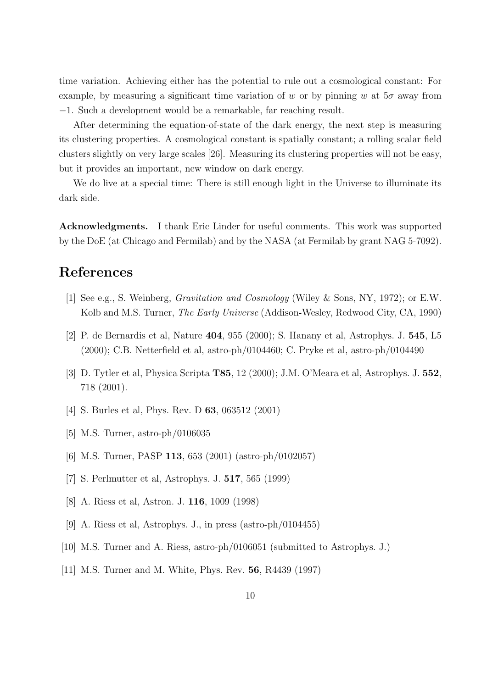time variation. Achieving either has the potential to rule out a cosmological constant: For example, by measuring a significant time variation of w or by pinning w at  $5\sigma$  away from −1. Such a development would be a remarkable, far reaching result.

After determining the equation-of-state of the dark energy, the next step is measuring its clustering properties. A cosmological constant is spatially constant; a rolling scalar field clusters slightly on very large scales [26]. Measuring its clustering properties will not be easy, but it provides an important, new window on dark energy.

We do live at a special time: There is still enough light in the Universe to illuminate its dark side.

Acknowledgments. I thank Eric Linder for useful comments. This work was supported by the DoE (at Chicago and Fermilab) and by the NASA (at Fermilab by grant NAG 5-7092).

### References

- [1] See e.g., S. Weinberg, Gravitation and Cosmology (Wiley & Sons, NY, 1972); or E.W. Kolb and M.S. Turner, The Early Universe (Addison-Wesley, Redwood City, CA, 1990)
- [2] P. de Bernardis et al, Nature 404, 955 (2000); S. Hanany et al, Astrophys. J. 545, L5 (2000); C.B. Netterfield et al, astro-ph/0104460; C. Pryke et al, astro-ph/0104490
- [3] D. Tytler et al, Physica Scripta T85, 12 (2000); J.M. O'Meara et al, Astrophys. J. 552, 718 (2001).
- [4] S. Burles et al, Phys. Rev. D 63, 063512 (2001)
- [5] M.S. Turner, astro-ph/0106035
- [6] M.S. Turner, PASP 113, 653 (2001) (astro-ph/0102057)
- [7] S. Perlmutter et al, Astrophys. J. 517, 565 (1999)
- [8] A. Riess et al, Astron. J. 116, 1009 (1998)
- [9] A. Riess et al, Astrophys. J., in press (astro-ph/0104455)
- [10] M.S. Turner and A. Riess, astro-ph/0106051 (submitted to Astrophys. J.)
- [11] M.S. Turner and M. White, Phys. Rev. 56, R4439 (1997)